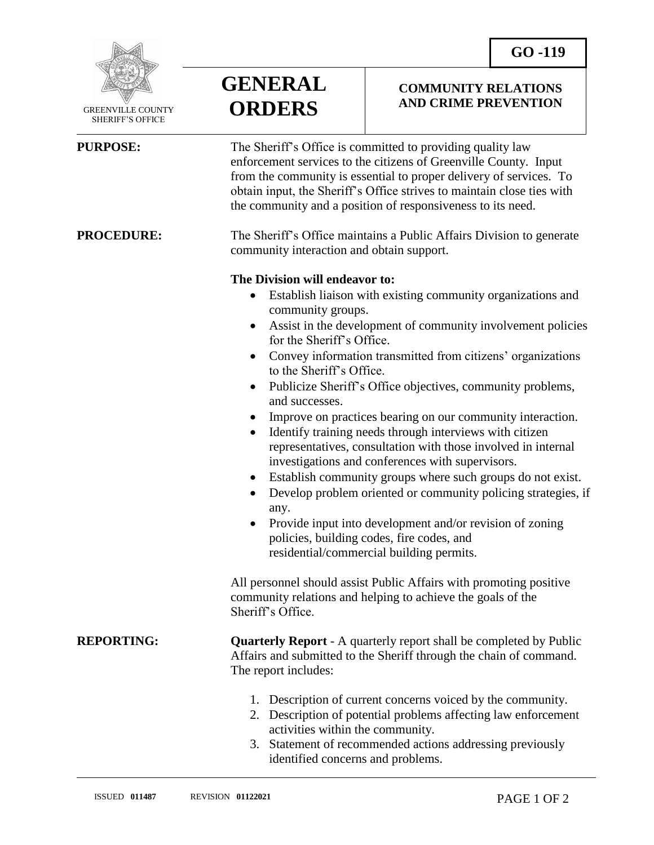

 GREENVILLE COUNTY SHERIFF'S OFFICE

| GENERAL       |
|---------------|
| <b>ORDERS</b> |

## **COMMUNITY RELATIONS AND CRIME PREVENTION**

| <b>PURPOSE:</b>   | The Sheriff's Office is committed to providing quality law<br>enforcement services to the citizens of Greenville County. Input<br>from the community is essential to proper delivery of services. To<br>obtain input, the Sheriff's Office strives to maintain close ties with<br>the community and a position of responsiveness to its need.                                                                                                                                                                                                                                                                                                                                                                                                                                                                                                                                                                                       |
|-------------------|-------------------------------------------------------------------------------------------------------------------------------------------------------------------------------------------------------------------------------------------------------------------------------------------------------------------------------------------------------------------------------------------------------------------------------------------------------------------------------------------------------------------------------------------------------------------------------------------------------------------------------------------------------------------------------------------------------------------------------------------------------------------------------------------------------------------------------------------------------------------------------------------------------------------------------------|
| <b>PROCEDURE:</b> | The Sheriff's Office maintains a Public Affairs Division to generate<br>community interaction and obtain support.                                                                                                                                                                                                                                                                                                                                                                                                                                                                                                                                                                                                                                                                                                                                                                                                                   |
|                   | The Division will endeavor to:<br>Establish liaison with existing community organizations and<br>community groups.<br>Assist in the development of community involvement policies<br>for the Sheriff's Office.<br>Convey information transmitted from citizens' organizations<br>to the Sheriff's Office.<br>Publicize Sheriff's Office objectives, community problems,<br>and successes.<br>Improve on practices bearing on our community interaction.<br>Identify training needs through interviews with citizen<br>representatives, consultation with those involved in internal<br>investigations and conferences with supervisors.<br>Establish community groups where such groups do not exist.<br>Develop problem oriented or community policing strategies, if<br>any.<br>Provide input into development and/or revision of zoning<br>policies, building codes, fire codes, and<br>residential/commercial building permits. |
|                   | All personnel should assist Public Affairs with promoting positive<br>community relations and helping to achieve the goals of the<br>Sheriff's Office.                                                                                                                                                                                                                                                                                                                                                                                                                                                                                                                                                                                                                                                                                                                                                                              |
| <b>REPORTING:</b> | <b>Quarterly Report</b> - A quarterly report shall be completed by Public<br>Affairs and submitted to the Sheriff through the chain of command.<br>The report includes:                                                                                                                                                                                                                                                                                                                                                                                                                                                                                                                                                                                                                                                                                                                                                             |
|                   | 1. Description of current concerns voiced by the community.<br>Description of potential problems affecting law enforcement<br>2.<br>activities within the community.<br>3. Statement of recommended actions addressing previously<br>identified concerns and problems.                                                                                                                                                                                                                                                                                                                                                                                                                                                                                                                                                                                                                                                              |